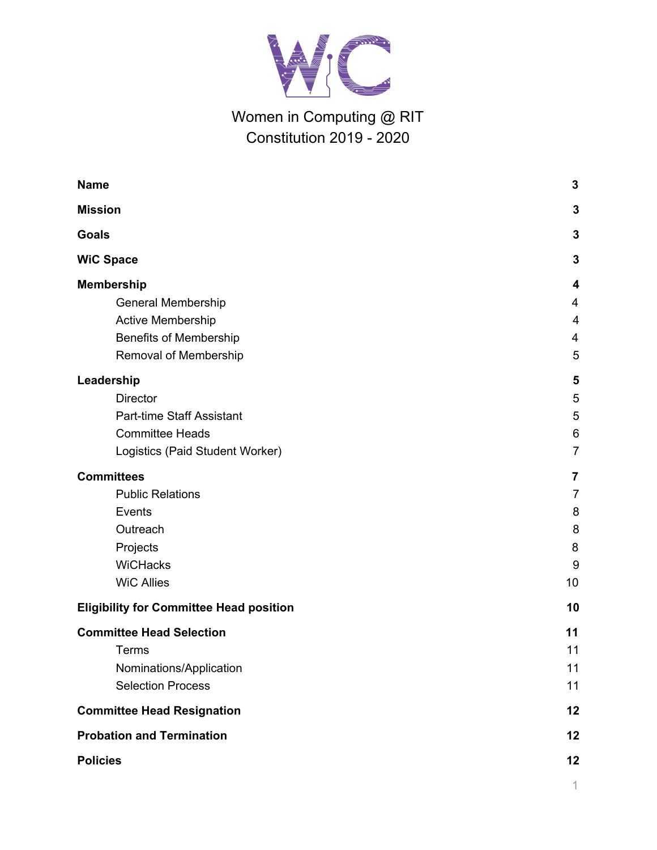

# Women in Computing @ RIT Constitution 2019 - 2020

| <b>Name</b>                                    | 3              |
|------------------------------------------------|----------------|
| <b>Mission</b>                                 | 3              |
| <b>Goals</b>                                   | 3              |
| <b>WiC Space</b>                               | 3              |
| <b>Membership</b>                              | 4              |
| General Membership                             | 4              |
| <b>Active Membership</b>                       | 4              |
| <b>Benefits of Membership</b>                  | $\overline{4}$ |
| Removal of Membership                          | 5              |
| Leadership                                     | 5              |
| <b>Director</b>                                | 5              |
| Part-time Staff Assistant                      | 5              |
| <b>Committee Heads</b>                         | 6              |
| Logistics (Paid Student Worker)                | $\overline{7}$ |
| <b>Committees</b>                              | 7              |
| <b>Public Relations</b>                        | $\overline{7}$ |
| Events                                         | 8              |
| Outreach                                       | 8              |
| Projects                                       | 8              |
| <b>WiCHacks</b>                                | 9              |
| <b>WiC Allies</b>                              | 10             |
| <b>Eligibility for Committee Head position</b> | 10             |
| <b>Committee Head Selection</b>                | 11             |
| Terms                                          | 11             |
| Nominations/Application                        | 11             |
| <b>Selection Process</b>                       | 11             |
| <b>Committee Head Resignation</b>              | 12             |
| <b>Probation and Termination</b>               | 12             |
| <b>Policies</b>                                | 12             |
|                                                |                |

1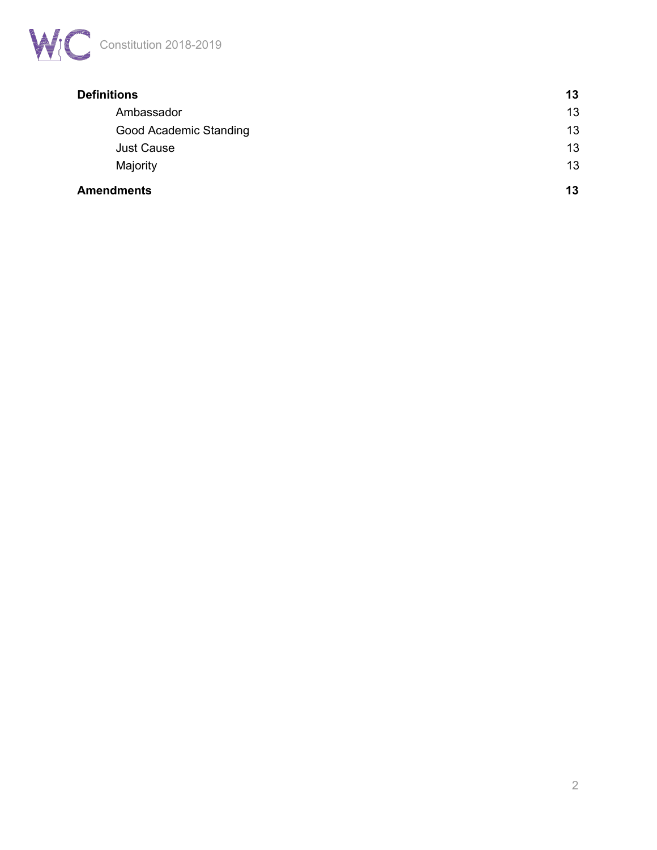

| <b>Definitions</b>     | 13 |
|------------------------|----|
| Ambassador             | 13 |
| Good Academic Standing | 13 |
| <b>Just Cause</b>      | 13 |
| Majority               | 13 |
| <b>Amendments</b>      | 13 |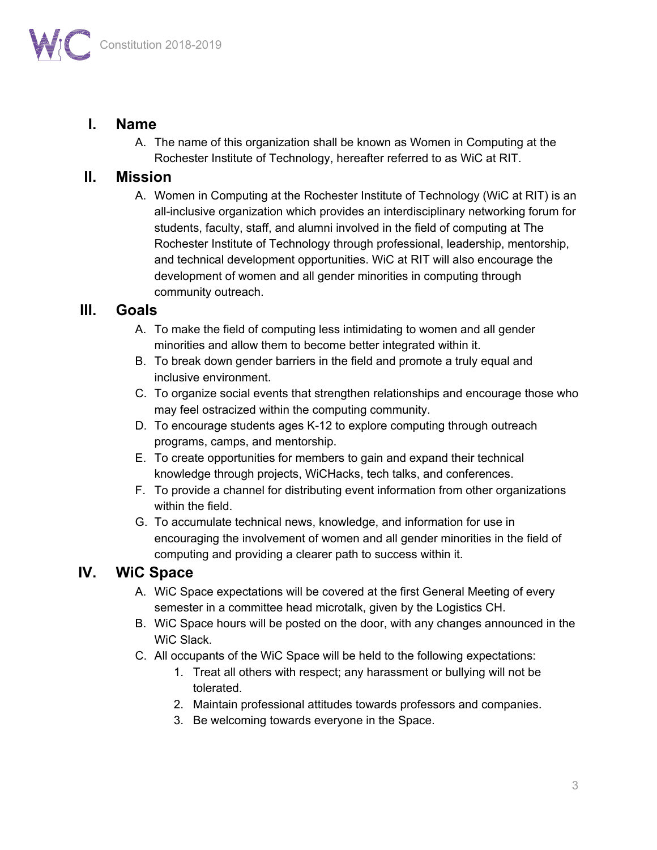

### <span id="page-2-0"></span>**I. Name**

A. The name of this organization shall be known as Women in Computing at the Rochester Institute of Technology, hereafter referred to as WiC at RIT.

## <span id="page-2-1"></span>**II. Mission**

A. Women in Computing at the Rochester Institute of Technology (WiC at RIT) is an all-inclusive organization which provides an interdisciplinary networking forum for students, faculty, staff, and alumni involved in the field of computing at The Rochester Institute of Technology through professional, leadership, mentorship, and technical development opportunities. WiC at RIT will also encourage the development of women and all gender minorities in computing through community outreach.

## <span id="page-2-2"></span>**III. Goals**

- A. To make the field of computing less intimidating to women and all gender minorities and allow them to become better integrated within it.
- B. To break down gender barriers in the field and promote a truly equal and inclusive environment.
- C. To organize social events that strengthen relationships and encourage those who may feel ostracized within the computing community.
- D. To encourage students ages K-12 to explore computing through outreach programs, camps, and mentorship.
- E. To create opportunities for members to gain and expand their technical knowledge through projects, WiCHacks, tech talks, and conferences.
- F. To provide a channel for distributing event information from other organizations within the field.
- G. To accumulate technical news, knowledge, and information for use in encouraging the involvement of women and all gender minorities in the field of computing and providing a clearer path to success within it.

## <span id="page-2-3"></span>**IV. WiC Space**

- A. WiC Space expectations will be covered at the first General Meeting of every semester in a committee head microtalk, given by the Logistics CH.
- B. WiC Space hours will be posted on the door, with any changes announced in the WiC Slack.
- C. All occupants of the WiC Space will be held to the following expectations:
	- 1. Treat all others with respect; any harassment or bullying will not be tolerated.
	- 2. Maintain professional attitudes towards professors and companies.
	- 3. Be welcoming towards everyone in the Space.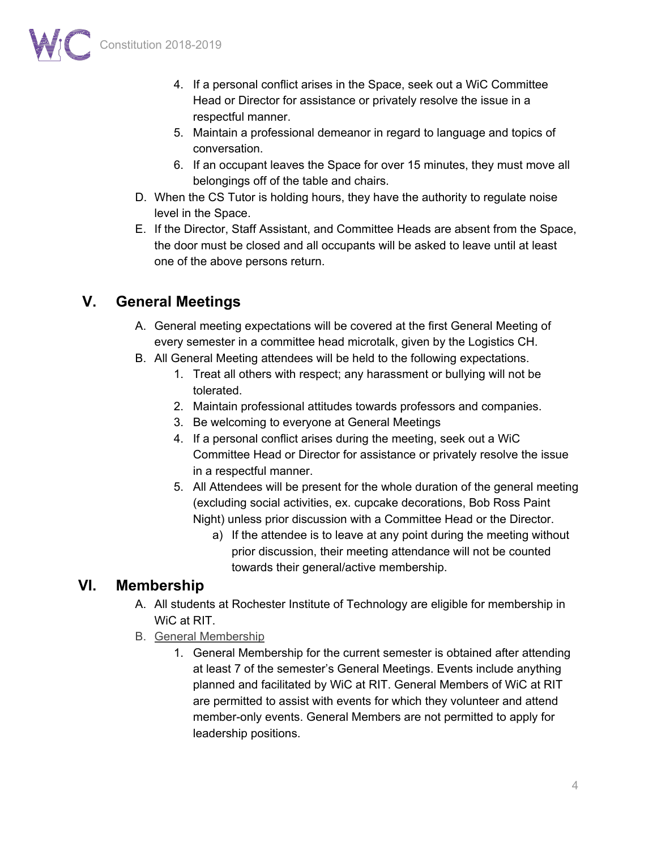- 4. If a personal conflict arises in the Space, seek out a WiC Committee Head or Director for assistance or privately resolve the issue in a respectful manner.
- 5. Maintain a professional demeanor in regard to language and topics of conversation.
- 6. If an occupant leaves the Space for over 15 minutes, they must move all belongings off of the table and chairs.
- D. When the CS Tutor is holding hours, they have the authority to regulate noise level in the Space.
- E. If the Director, Staff Assistant, and Committee Heads are absent from the Space, the door must be closed and all occupants will be asked to leave until at least one of the above persons return.

## **V. General Meetings**

- A. General meeting expectations will be covered at the first General Meeting of every semester in a committee head microtalk, given by the Logistics CH.
- B. All General Meeting attendees will be held to the following expectations.
	- 1. Treat all others with respect; any harassment or bullying will not be tolerated.
	- 2. Maintain professional attitudes towards professors and companies.
	- 3. Be welcoming to everyone at General Meetings
	- 4. If a personal conflict arises during the meeting, seek out a WiC Committee Head or Director for assistance or privately resolve the issue in a respectful manner.
	- 5. All Attendees will be present for the whole duration of the general meeting (excluding social activities, ex. cupcake decorations, Bob Ross Paint Night) unless prior discussion with a Committee Head or the Director.
		- a) If the attendee is to leave at any point during the meeting without prior discussion, their meeting attendance will not be counted towards their general/active membership.

## <span id="page-3-1"></span><span id="page-3-0"></span>**VI. Membership**

- A. All students at Rochester Institute of Technology are eligible for membership in WiC at RIT.
- B. General Membership
	- 1. General Membership for the current semester is obtained after attending at least 7 of the semester's General Meetings. Events include anything planned and facilitated by WiC at RIT. General Members of WiC at RIT are permitted to assist with events for which they volunteer and attend member-only events. General Members are not permitted to apply for leadership positions.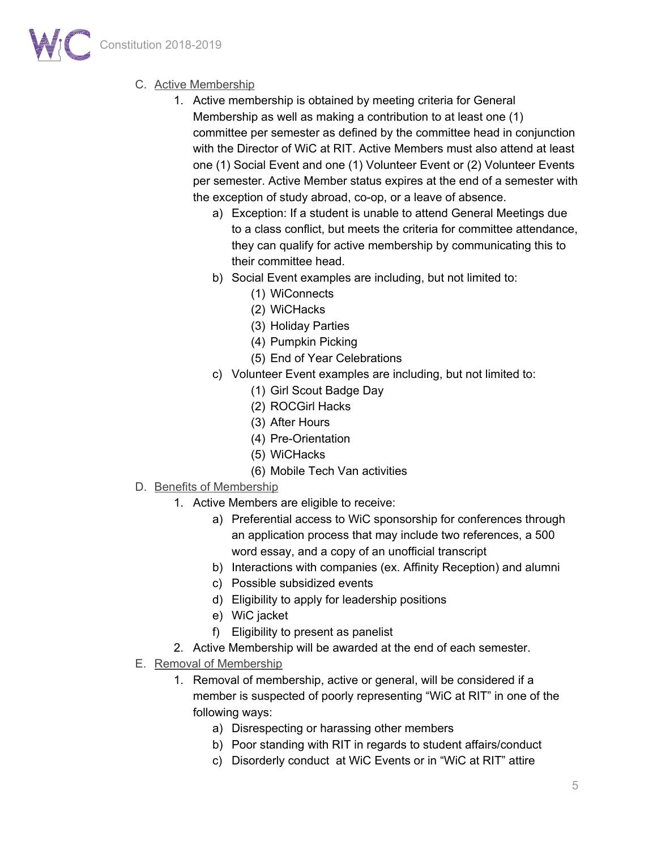

### <span id="page-4-0"></span>C. Active Membership

- 1. Active membership is obtained by meeting criteria for General Membership as well as making a contribution to at least one (1) committee per semester as defined by the committee head in conjunction with the Director of WiC at RIT. Active Members must also attend at least one (1) Social Event and one (1) Volunteer Event or (2) Volunteer Events per semester. Active Member status expires at the end of a semester with the exception of study abroad, co-op, or a leave of absence.
	- a) Exception: If a student is unable to attend General Meetings due to a class conflict, but meets the criteria for committee attendance, they can qualify for active membership by communicating this to their committee head.
	- b) Social Event examples are including, but not limited to:
		- (1) WiConnects
		- (2) WiCHacks
		- (3) Holiday Parties
		- (4) Pumpkin Picking
		- (5) End of Year Celebrations
	- c) Volunteer Event examples are including, but not limited to:
		- (1) Girl Scout Badge Day
		- (2) ROCGirl Hacks
		- (3) After Hours
		- (4) Pre-Orientation
		- (5) WiCHacks
		- (6) Mobile Tech Van activities
- <span id="page-4-1"></span>D. Benefits of Membership
	- 1. Active Members are eligible to receive:
		- a) Preferential access to WiC sponsorship for conferences through an application process that may include two references, a 500 word essay, and a copy of an unofficial transcript
		- b) Interactions with companies (ex. Affinity Reception) and alumni
		- c) Possible subsidized events
		- d) Eligibility to apply for leadership positions
		- e) WiC jacket
		- f) Eligibility to present as panelist
	- 2. Active Membership will be awarded at the end of each semester.
- <span id="page-4-2"></span>E. Removal of Membership
	- 1. Removal of membership, active or general, will be considered if a member is suspected of poorly representing "WiC at RIT" in one of the following ways:
		- a) Disrespecting or harassing other members
		- b) Poor standing with RIT in regards to student affairs/conduct
		- c) Disorderly conduct at WiC Events or in "WiC at RIT" attire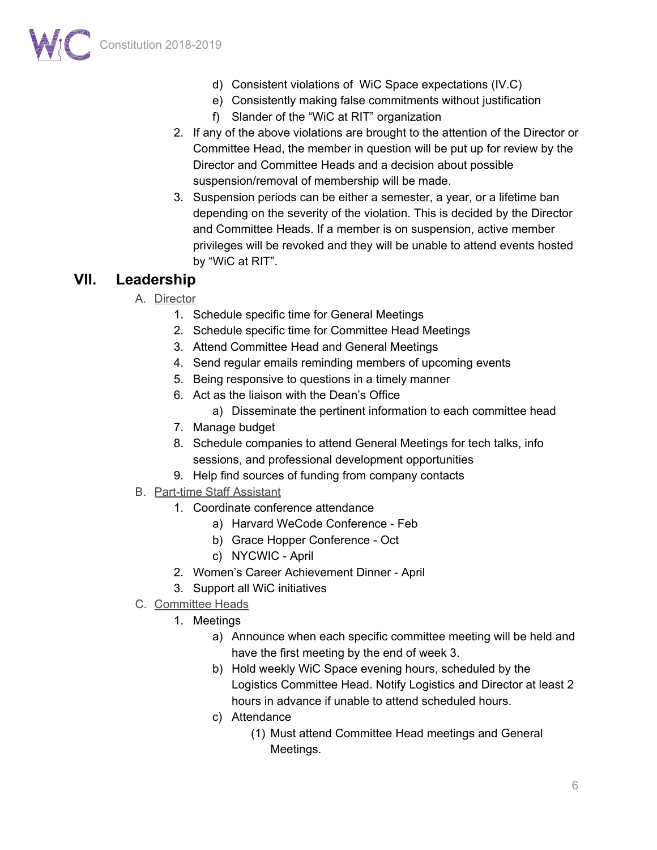

- d) Consistent violations of WiC Space expectations (IV.C)
- e) Consistently making false commitments without justification
- f) Slander of the "WiC at RIT" organization
- 2. If any of the above violations are brought to the attention of the Director or Committee Head, the member in question will be put up for review by the Director and Committee Heads and a decision about possible suspension/removal of membership will be made.
- 3. Suspension periods can be either a semester, a year, or a lifetime ban depending on the severity of the violation. This is decided by the Director and Committee Heads. If a member is on suspension, active member privileges will be revoked and they will be unable to attend events hosted by "WiC at RIT".

#### <span id="page-5-1"></span><span id="page-5-0"></span>**VII. Leadership**

- A. Director
	- 1. Schedule specific time for General Meetings
	- 2. Schedule specific time for Committee Head Meetings
	- 3. Attend Committee Head and General Meetings
	- 4. Send regular emails reminding members of upcoming events
	- 5. Being responsive to questions in a timely manner
	- 6. Act as the liaison with the Dean's Office
		- a) Disseminate the pertinent information to each committee head
	- 7. Manage budget
	- 8. Schedule companies to attend General Meetings for tech talks, info sessions, and professional development opportunities
	- 9. Help find sources of funding from company contacts
- <span id="page-5-2"></span>B. Part-time Staff Assistant
	- 1. Coordinate conference attendance
		- a) Harvard WeCode Conference Feb
		- b) Grace Hopper Conference Oct
		- c) NYCWIC April
	- 2. Women's Career Achievement Dinner April
	- 3. Support all WiC initiatives
- <span id="page-5-3"></span>C. Committee Heads
	- 1. Meetings
		- a) Announce when each specific committee meeting will be held and have the first meeting by the end of week 3.
		- b) Hold weekly WiC Space evening hours, scheduled by the Logistics Committee Head. Notify Logistics and Director at least 2 hours in advance if unable to attend scheduled hours.
		- c) Attendance
			- (1) Must attend Committee Head meetings and General Meetings.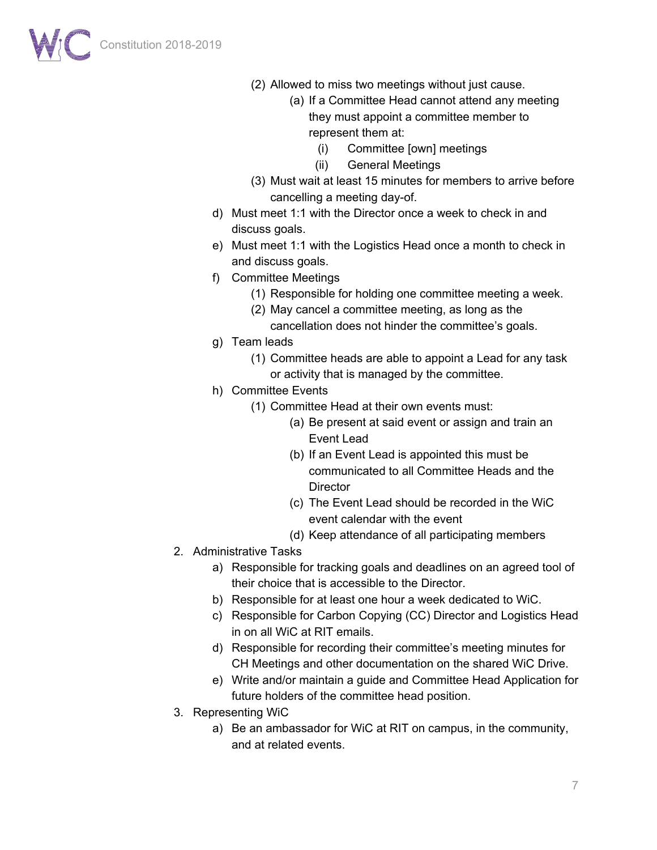

- (2) Allowed to miss two meetings without just cause.
	- (a) If a Committee Head cannot attend any meeting they must appoint a committee member to represent them at:
		- (i) Committee [own] meetings
		- (ii) General Meetings
- (3) Must wait at least 15 minutes for members to arrive before cancelling a meeting day-of.
- d) Must meet 1:1 with the Director once a week to check in and discuss goals.
- e) Must meet 1:1 with the Logistics Head once a month to check in and discuss goals.
- f) Committee Meetings
	- (1) Responsible for holding one committee meeting a week.
	- (2) May cancel a committee meeting, as long as the cancellation does not hinder the committee's goals.
- g) Team leads
	- (1) Committee heads are able to appoint a Lead for any task or activity that is managed by the committee.
- h) Committee Events
	- (1) Committee Head at their own events must:
		- (a) Be present at said event or assign and train an Event Lead
		- (b) If an Event Lead is appointed this must be communicated to all Committee Heads and the **Director**
		- (c) The Event Lead should be recorded in the WiC event calendar with the event
		- (d) Keep attendance of all participating members
- 2. Administrative Tasks
	- a) Responsible for tracking goals and deadlines on an agreed tool of their choice that is accessible to the Director.
	- b) Responsible for at least one hour a week dedicated to WiC.
	- c) Responsible for Carbon Copying (CC) Director and Logistics Head in on all WiC at RIT emails.
	- d) Responsible for recording their committee's meeting minutes for CH Meetings and other documentation on the shared WiC Drive.
	- e) Write and/or maintain a guide and Committee Head Application for future holders of the committee head position.
- 3. Representing WiC
	- a) Be an ambassador for WiC at RIT on campus, in the community, and at related events.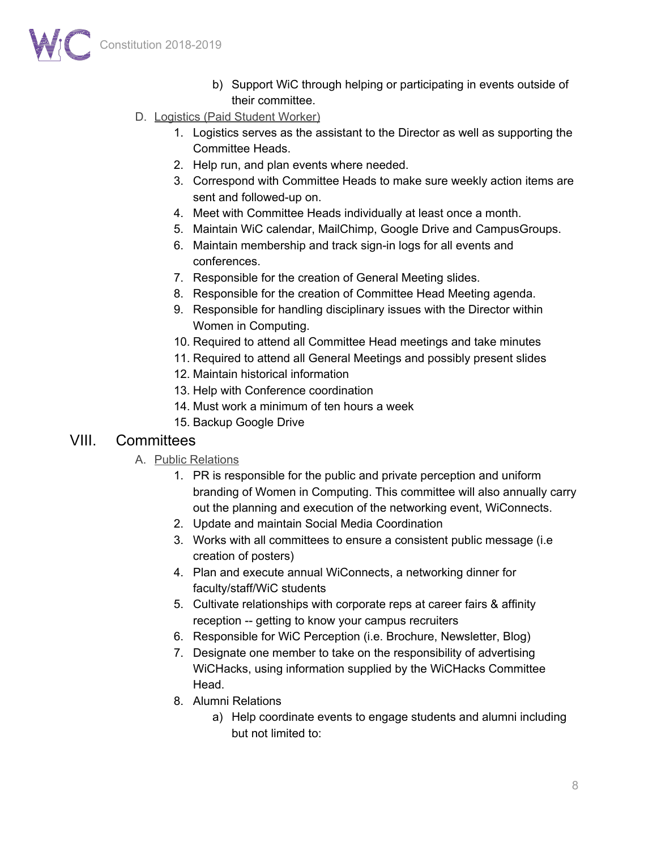

b) Support WiC through helping or participating in events outside of their committee.

#### <span id="page-7-0"></span>D. Logistics (Paid Student Worker)

- 1. Logistics serves as the assistant to the Director as well as supporting the Committee Heads.
- 2. Help run, and plan events where needed.
- 3. Correspond with Committee Heads to make sure weekly action items are sent and followed-up on.
- 4. Meet with Committee Heads individually at least once a month.
- 5. Maintain WiC calendar, MailChimp, Google Drive and CampusGroups.
- 6. Maintain membership and track sign-in logs for all events and conferences.
- 7. Responsible for the creation of General Meeting slides.
- 8. Responsible for the creation of Committee Head Meeting agenda.
- 9. Responsible for handling disciplinary issues with the Director within Women in Computing.
- 10. Required to attend all Committee Head meetings and take minutes
- 11. Required to attend all General Meetings and possibly present slides
- 12. Maintain historical information
- 13. Help with Conference coordination
- 14. Must work a minimum of ten hours a week
- 15. Backup Google Drive

### <span id="page-7-2"></span><span id="page-7-1"></span>VIII. Committees

- A. Public Relations
	- 1. PR is responsible for the public and private perception and uniform branding of Women in Computing. This committee will also annually carry out the planning and execution of the networking event, WiConnects.
	- 2. Update and maintain Social Media Coordination
	- 3. Works with all committees to ensure a consistent public message (i.e creation of posters)
	- 4. Plan and execute annual WiConnects, a networking dinner for faculty/staff/WiC students
	- 5. Cultivate relationships with corporate reps at career fairs & affinity reception -- getting to know your campus recruiters
	- 6. Responsible for WiC Perception (i.e. Brochure, Newsletter, Blog)
	- 7. Designate one member to take on the responsibility of advertising WiCHacks, using information supplied by the WiCHacks Committee Head.
	- 8. Alumni Relations
		- a) Help coordinate events to engage students and alumni including but not limited to: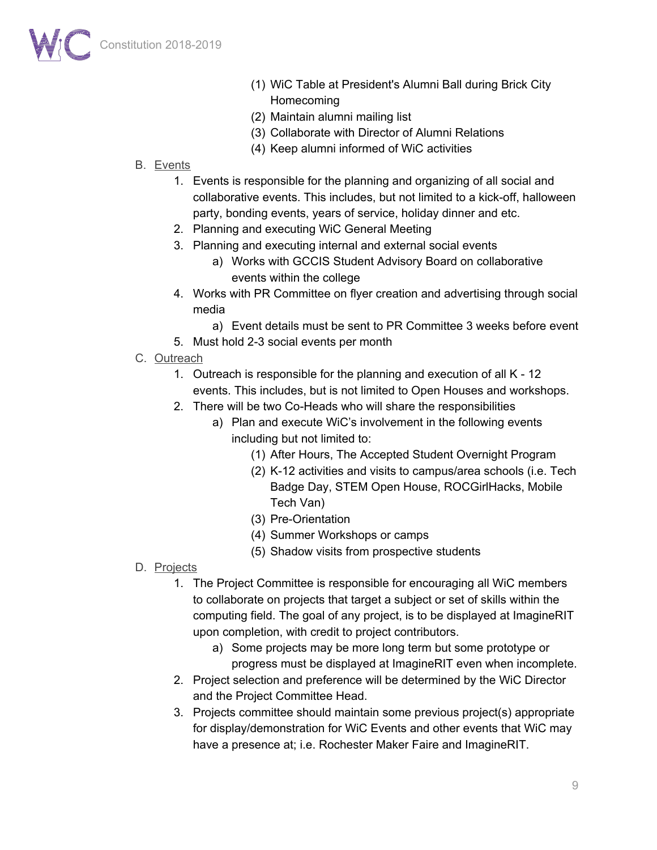- (1) WiC Table at President's Alumni Ball during Brick City Homecoming
- (2) Maintain alumni mailing list
- (3) Collaborate with Director of Alumni Relations
- (4) Keep alumni informed of WiC activities
- <span id="page-8-0"></span>B. Events
	- 1. Events is responsible for the planning and organizing of all social and collaborative events. This includes, but not limited to a kick-off, halloween party, bonding events, years of service, holiday dinner and etc.
	- 2. Planning and executing WiC General Meeting
	- 3. Planning and executing internal and external social events
		- a) Works with GCCIS Student Advisory Board on collaborative events within the college
	- 4. Works with PR Committee on flyer creation and advertising through social media
		- a) Event details must be sent to PR Committee 3 weeks before event
	- 5. Must hold 2-3 social events per month
- <span id="page-8-1"></span>C. Outreach
	- 1. Outreach is responsible for the planning and execution of all K 12 events. This includes, but is not limited to Open Houses and workshops.
	- 2. There will be two Co-Heads who will share the responsibilities
		- a) Plan and execute WiC's involvement in the following events including but not limited to:
			- (1) After Hours, The Accepted Student Overnight Program
			- (2) K-12 activities and visits to campus/area schools (i.e. Tech Badge Day, STEM Open House, ROCGirlHacks, Mobile Tech Van)
			- (3) Pre-Orientation
			- (4) Summer Workshops or camps
			- (5) Shadow visits from prospective students
- <span id="page-8-2"></span>D. Projects
	- 1. The Project Committee is responsible for encouraging all WiC members to collaborate on projects that target a subject or set of skills within the computing field. The goal of any project, is to be displayed at ImagineRIT upon completion, with credit to project contributors.
		- a) Some projects may be more long term but some prototype or progress must be displayed at ImagineRIT even when incomplete.
	- 2. Project selection and preference will be determined by the WiC Director and the Project Committee Head.
	- 3. Projects committee should maintain some previous project(s) appropriate for display/demonstration for WiC Events and other events that WiC may have a presence at; i.e. Rochester Maker Faire and ImagineRIT.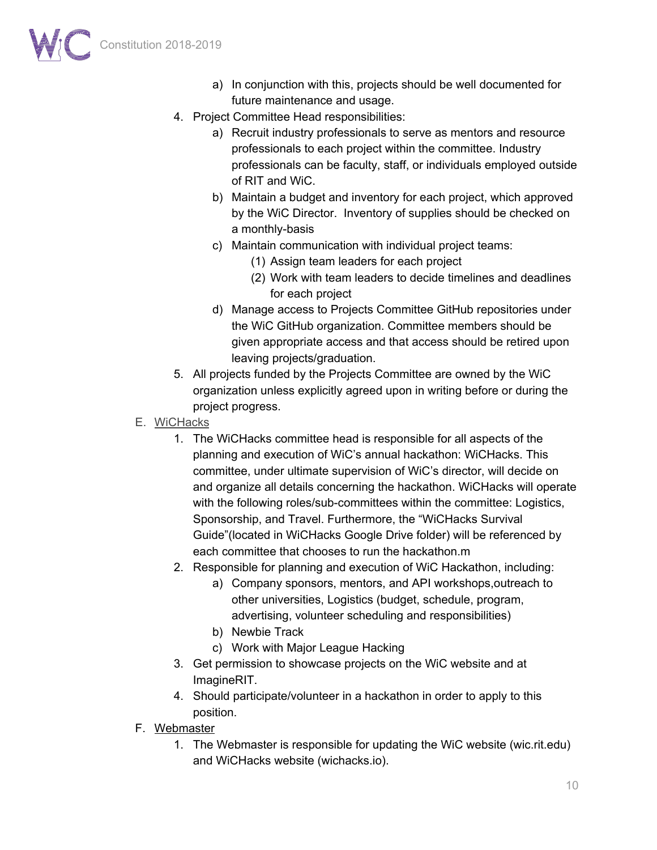

- a) In conjunction with this, projects should be well documented for future maintenance and usage.
- 4. Project Committee Head responsibilities:
	- a) Recruit industry professionals to serve as mentors and resource professionals to each project within the committee. Industry professionals can be faculty, staff, or individuals employed outside of RIT and WiC.
	- b) Maintain a budget and inventory for each project, which approved by the WiC Director. Inventory of supplies should be checked on a monthly-basis
	- c) Maintain communication with individual project teams:
		- (1) Assign team leaders for each project
		- (2) Work with team leaders to decide timelines and deadlines for each project
	- d) Manage access to Projects Committee GitHub repositories under the WiC GitHub organization. Committee members should be given appropriate access and that access should be retired upon leaving projects/graduation.
- 5. All projects funded by the Projects Committee are owned by the WiC organization unless explicitly agreed upon in writing before or during the project progress.
- <span id="page-9-0"></span>E. WiCHacks
	- 1. The WiCHacks committee head is responsible for all aspects of the planning and execution of WiC's annual hackathon: WiCHacks. This committee, under ultimate supervision of WiC's director, will decide on and organize all details concerning the hackathon. WiCHacks will operate with the following roles/sub-committees within the committee: Logistics, Sponsorship, and Travel. Furthermore, the "WiCHacks Survival Guide"(located in WiCHacks Google Drive folder) will be referenced by each committee that chooses to run the hackathon.m
	- 2. Responsible for planning and execution of WiC Hackathon, including:
		- a) Company sponsors, mentors, and API workshops,outreach to other universities, Logistics (budget, schedule, program, advertising, volunteer scheduling and responsibilities)
		- b) Newbie Track
		- c) Work with Major League Hacking
	- 3. Get permission to showcase projects on the WiC website and at ImagineRIT.
	- 4. Should participate/volunteer in a hackathon in order to apply to this position.
- F. Webmaster
	- 1. The Webmaster is responsible for updating the WiC website (wic.rit.edu) and WiCHacks website (wichacks.io).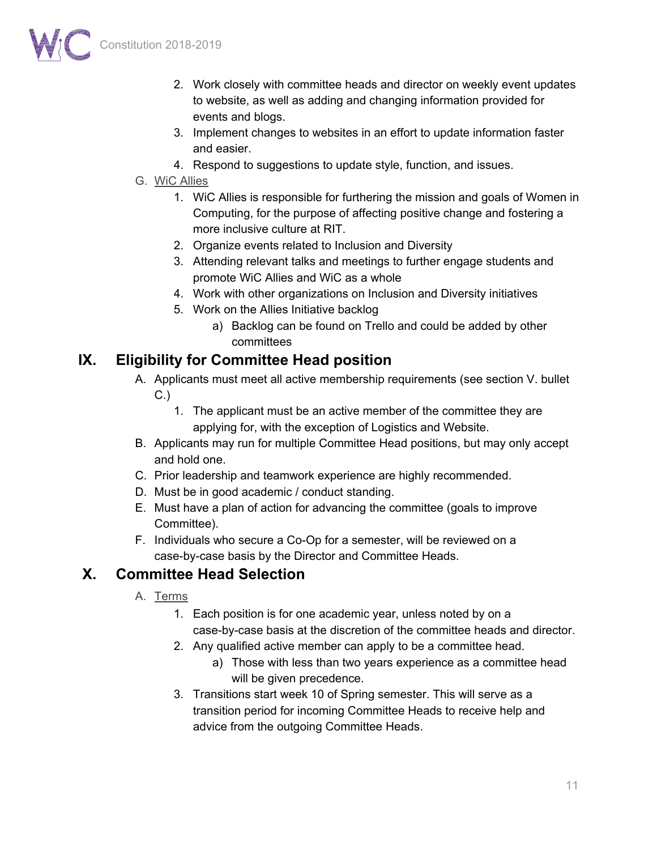- 2. Work closely with committee heads and director on weekly event updates to website, as well as adding and changing information provided for events and blogs.
- 3. Implement changes to websites in an effort to update information faster and easier.
- 4. Respond to suggestions to update style, function, and issues.
- <span id="page-10-0"></span>G. WiC Allies
	- 1. WiC Allies is responsible for furthering the mission and goals of Women in Computing, for the purpose of affecting positive change and fostering a more inclusive culture at RIT.
	- 2. Organize events related to Inclusion and Diversity
	- 3. Attending relevant talks and meetings to further engage students and promote WiC Allies and WiC as a whole
	- 4. Work with other organizations on Inclusion and Diversity initiatives
	- 5. Work on the Allies Initiative backlog
		- a) Backlog can be found on Trello and could be added by other committees

## <span id="page-10-1"></span>**IX. Eligibility for Committee Head position**

- A. Applicants must meet all active membership requirements (see section V. bullet C.)
	- 1. The applicant must be an active member of the committee they are applying for, with the exception of Logistics and Website.
- B. Applicants may run for multiple Committee Head positions, but may only accept and hold one.
- C. Prior leadership and teamwork experience are highly recommended.
- D. Must be in good academic / conduct standing.
- E. Must have a plan of action for advancing the committee (goals to improve Committee).
- F. Individuals who secure a Co-Op for a semester, will be reviewed on a case-by-case basis by the Director and Committee Heads.

## <span id="page-10-3"></span><span id="page-10-2"></span>**X. Committee Head Selection**

- A. Terms
	- 1. Each position is for one academic year, unless noted by on a case-by-case basis at the discretion of the committee heads and director.
	- 2. Any qualified active member can apply to be a committee head.
		- a) Those with less than two years experience as a committee head will be given precedence.
	- 3. Transitions start week 10 of Spring semester. This will serve as a transition period for incoming Committee Heads to receive help and advice from the outgoing Committee Heads.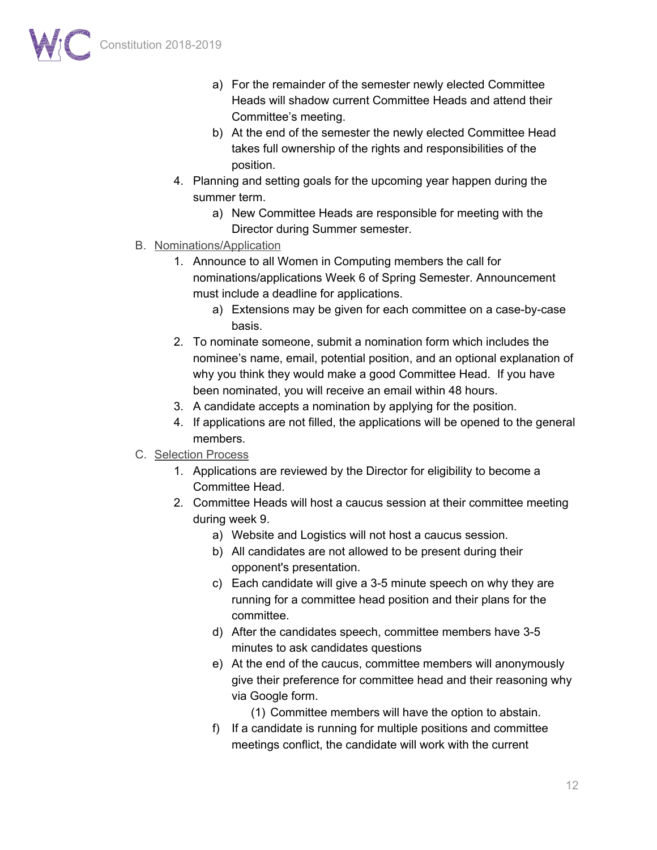- a) For the remainder of the semester newly elected Committee Heads will shadow current Committee Heads and attend their Committee's meeting.
- b) At the end of the semester the newly elected Committee Head takes full ownership of the rights and responsibilities of the position.
- 4. Planning and setting goals for the upcoming year happen during the summer term.
	- a) New Committee Heads are responsible for meeting with the Director during Summer semester.
- <span id="page-11-0"></span>B. Nominations/Application
	- 1. Announce to all Women in Computing members the call for nominations/applications Week 6 of Spring Semester. Announcement must include a deadline for applications.
		- a) Extensions may be given for each committee on a case-by-case basis.
	- 2. To nominate someone, submit a nomination form which includes the nominee's name, email, potential position, and an optional explanation of why you think they would make a good Committee Head. If you have been nominated, you will receive an email within 48 hours.
	- 3. A candidate accepts a nomination by applying for the position.
	- 4. If applications are not filled, the applications will be opened to the general members.
- <span id="page-11-1"></span>C. Selection Process
	- 1. Applications are reviewed by the Director for eligibility to become a Committee Head.
	- 2. Committee Heads will host a caucus session at their committee meeting during week 9.
		- a) Website and Logistics will not host a caucus session.
		- b) All candidates are not allowed to be present during their opponent's presentation.
		- c) Each candidate will give a 3-5 minute speech on why they are running for a committee head position and their plans for the committee.
		- d) After the candidates speech, committee members have 3-5 minutes to ask candidates questions
		- e) At the end of the caucus, committee members will anonymously give their preference for committee head and their reasoning why via Google form.
			- (1) Committee members will have the option to abstain.
		- f) If a candidate is running for multiple positions and committee meetings conflict, the candidate will work with the current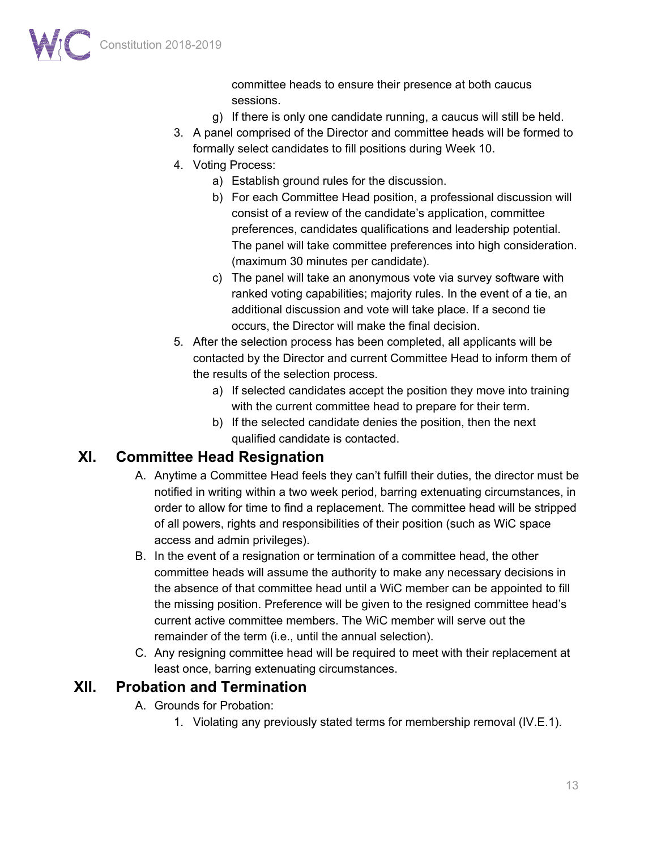committee heads to ensure their presence at both caucus sessions.

- g) If there is only one candidate running, a caucus will still be held.
- 3. A panel comprised of the Director and committee heads will be formed to formally select candidates to fill positions during Week 10.
- 4. Voting Process:
	- a) Establish ground rules for the discussion.
	- b) For each Committee Head position, a professional discussion will consist of a review of the candidate's application, committee preferences, candidates qualifications and leadership potential. The panel will take committee preferences into high consideration. (maximum 30 minutes per candidate).
	- c) The panel will take an anonymous vote via survey software with ranked voting capabilities; majority rules. In the event of a tie, an additional discussion and vote will take place. If a second tie occurs, the Director will make the final decision.
- 5. After the selection process has been completed, all applicants will be contacted by the Director and current Committee Head to inform them of the results of the selection process.
	- a) If selected candidates accept the position they move into training with the current committee head to prepare for their term.
	- b) If the selected candidate denies the position, then the next qualified candidate is contacted.

## <span id="page-12-0"></span>**XI. Committee Head Resignation**

- A. Anytime a Committee Head feels they can't fulfill their duties, the director must be notified in writing within a two week period, barring extenuating circumstances, in order to allow for time to find a replacement. The committee head will be stripped of all powers, rights and responsibilities of their position (such as WiC space access and admin privileges).
- B. In the event of a resignation or termination of a committee head, the other committee heads will assume the authority to make any necessary decisions in the absence of that committee head until a WiC member can be appointed to fill the missing position. Preference will be given to the resigned committee head's current active committee members. The WiC member will serve out the remainder of the term (i.e., until the annual selection).
- C. Any resigning committee head will be required to meet with their replacement at least once, barring extenuating circumstances.

## <span id="page-12-1"></span>**XII. Probation and Termination**

- A. Grounds for Probation:
	- 1. Violating any previously stated terms for membership removal (IV.E.1).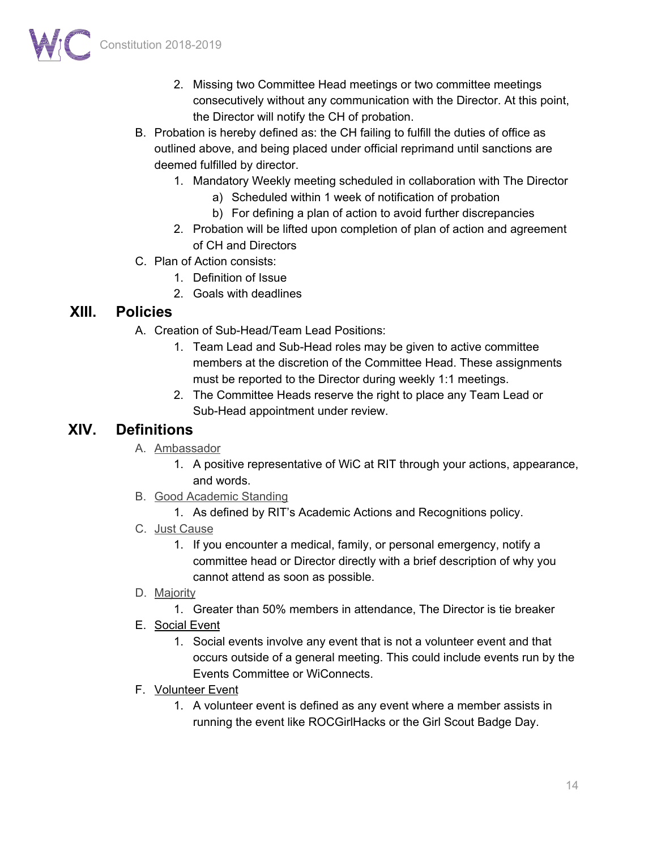

- 2. Missing two Committee Head meetings or two committee meetings consecutively without any communication with the Director. At this point, the Director will notify the CH of probation.
- B. Probation is hereby defined as: the CH failing to fulfill the duties of office as outlined above, and being placed under official reprimand until sanctions are deemed fulfilled by director.
	- 1. Mandatory Weekly meeting scheduled in collaboration with The Director
		- a) Scheduled within 1 week of notification of probation
		- b) For defining a plan of action to avoid further discrepancies
	- 2. Probation will be lifted upon completion of plan of action and agreement of CH and Directors
- C. Plan of Action consists:
	- 1. Definition of Issue
	- 2. Goals with deadlines

## <span id="page-13-0"></span>**XIII. Policies**

- A. Creation of Sub-Head/Team Lead Positions:
	- 1. Team Lead and Sub-Head roles may be given to active committee members at the discretion of the Committee Head. These assignments must be reported to the Director during weekly 1:1 meetings.
	- 2. The Committee Heads reserve the right to place any Team Lead or Sub-Head appointment under review.

## <span id="page-13-2"></span><span id="page-13-1"></span>**XIV. Definitions**

- A. Ambassador
	- 1. A positive representative of WiC at RIT through your actions, appearance, and words.
- <span id="page-13-3"></span>B. Good Academic Standing
	- 1. As defined by RIT's Academic Actions and Recognitions policy.
- <span id="page-13-4"></span>C. Just Cause
	- 1. If you encounter a medical, family, or personal emergency, notify a committee head or Director directly with a brief description of why you cannot attend as soon as possible.
- <span id="page-13-5"></span>D. Majority
	- 1. Greater than 50% members in attendance, The Director is tie breaker
- E. Social Event
	- 1. Social events involve any event that is not a volunteer event and that occurs outside of a general meeting. This could include events run by the Events Committee or WiConnects.
- F. Volunteer Event
	- 1. A volunteer event is defined as any event where a member assists in running the event like ROCGirlHacks or the Girl Scout Badge Day.